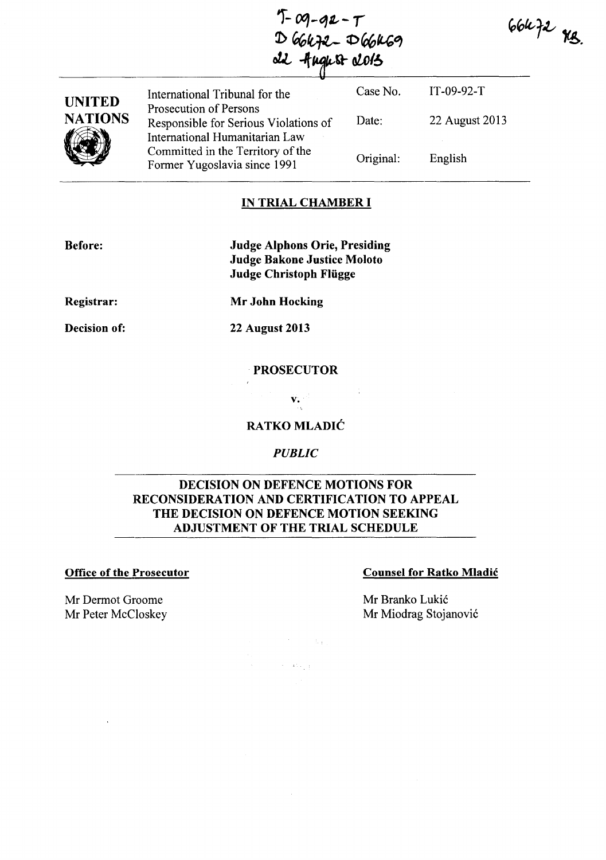$T - 09 - 92 - T$ <br>  $D 66672 - D 66669$ <br>  $d2$  -fugust 2015

 $66k$  f2  $48$ 

| <b>UNITED</b>             | International Tribunal for the                                                                    | Case No.  | $IT-09-92-T$   |
|---------------------------|---------------------------------------------------------------------------------------------------|-----------|----------------|
| <b>NATIONS</b>            | Prosecution of Persons<br>Responsible for Serious Violations of<br>International Humanitarian Law | Date:     | 22 August 2013 |
|                           | Committed in the Territory of the<br>Former Yugoslavia since 1991                                 | Original: | English        |
| <b>IN TRIAL CHAMBER I</b> |                                                                                                   |           |                |

## IN TRIAL CHAMBER **I**

Before:

Judge Alphons Orie, Presiding Judge Bakone Justice Moloto Judge Christoph Fliigge

Registrar:

Mr John Hocking

Decision of:

22 August 2013

PROSECUTOR

RATKO MLADIĆ

v.

*PUBLIC* 

## DECISION ON DEFENCE MOTIONS FOR RECONSIDERATION AND CERTIFICATION TO APPEAL THE DECISION ON DEFENCE MOTION SEEKING ADJUSTMENT OF THE TRIAL SCHEDULE

 $\sim 100$ 

 $\beta=45\pm1$ 

#### Office of the Prosecutor Counsel for Ratko Mladić

Mr Dermot Groome Mr Peter McCloskey Mr Branko Lukić Mr Miodrag Stojanović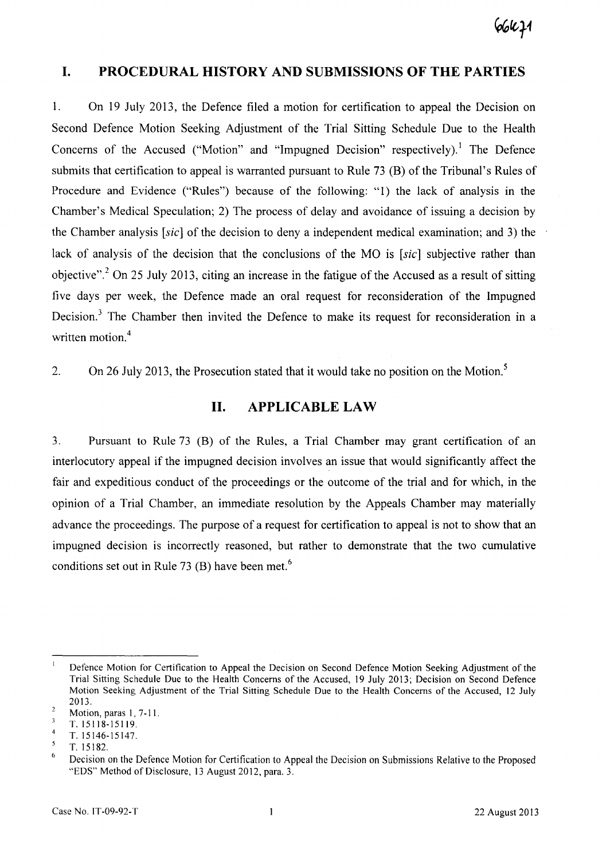# **I. PROCEDURAL HISTORY AND SUBMISSIONS OF THE PARTIES**

1. On 19 July 2013, the Defence filed a motion for certification to appeal the Decision on Second Defence Motion Seeking Adjustment of the Trial Sitting Schedule Due to the Health Concerns of the Accused ("Motion" and "Impugned Decision" respectively).! The Defence submits that certification to appeal is warranted pursuant to Rule  $73 \times (B)$  of the Tribunal's Rules of Procedure and Evidence ("Rules") because of the following: "1) the lack of analysis in the Chamber's Medical Speculation; 2) The process of delay and avoidance of issuing a decision by the Chamber analysis [sic] of the decision to deny a independent medical examination; and 3) the lack of analysis of the decision that the conclusions of the MO is [sic] subjective rather than objective".<sup>2</sup> On 25 July 2013, citing an increase in the fatigue of the Accused as a result of sitting five days per week, the Defence made an oral request for reconsideration of the Impugned Decision.<sup>3</sup> The Chamber then invited the Defence to make its request for reconsideration in a written motion.<sup>4</sup>

2. On 26 July 2013, the Prosecution stated that it would take no position on the Motion.<sup>5</sup>

## **II. APPLICABLE LAW**

3. Pursuant to Rule 73 (8) of the Rules, a Trial Chamber may grant certification of an interlocutory appeal if the impugned decision involves an issue that would significantly affect the fair and expeditious conduct of the proceedings or the outcome of the trial and for which, in the opinion of a Trial Chamber, an immediate resolution by the Appeals Chamber may materially advance the proceedings. The purpose of a request for certification to appeal is not to show that an impugned decision is incorrectly reasoned, but rather to demonstrate that the two cumulative conditions set out in Rule 73  $(B)$  have been met.<sup>6</sup>

 $\bar{1}$ Defence Motion for Certification to Appeal the Decision on Second Defence Motion Seeking Adjustment of the Trial Sitting Schedule Due to the Health Concerns of the Accused, 19 July 2013; Decision on Second Defence Motion Seeking Adjustment of the Trial Sitting Schedule Due to the Health Concerns of the Accused, 12 July 2013.

 $\overline{2}$ Motion, paras l, 7-11.

 $\overline{\mathbf{3}}$ T. 15118-15119.

 $\overline{4}$ T. 15146-15147.

 $\mathfrak{s}$ T. 15182.

 $\ddot{\mathbf{6}}$ Decision on the Defence Motion for Certification to Appeal the Decision on Submissions Relative to the Proposed "EDS" Method of Disclosure, 13 August 2012, para. 3.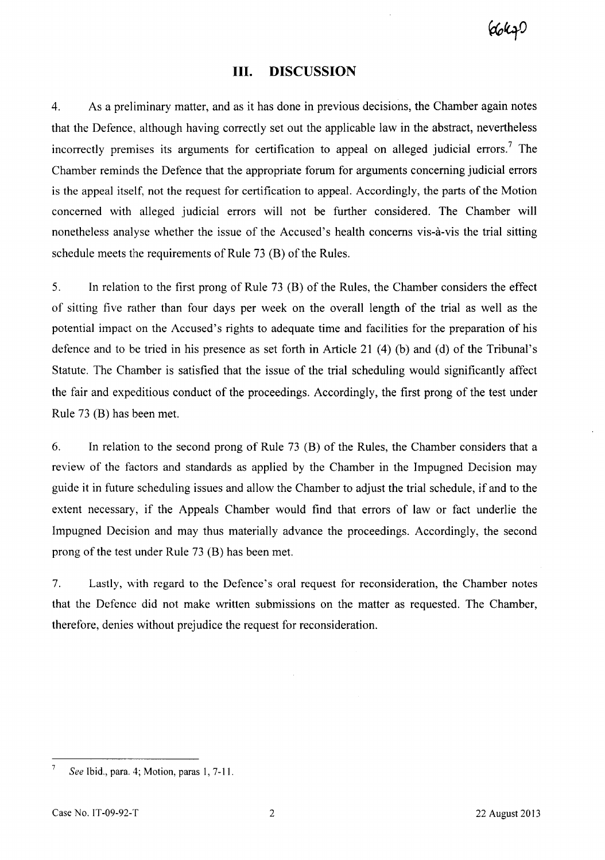(dokz!

## **III. DISCUSSION**

4. As a preliminary matter, and as it has done in previous decisions, the Chamber again notes that the Defence, although having correctly set out the applicable law in the abstract, nevertheless incorrectly premises its arguments for certification to appeal on alleged judicial errors.<sup>7</sup> The Chamber reminds the Defence that the appropriate forum for arguments concerning judicial errors is the appeal itself, not the request for certification to appeal. Accordingly, the parts of the Motion concerned with alleged judicial errors will not be further considered. The Chamber will nonetheless analyse whether the issue of the Accused's health concerns vis-a-vis the trial sitting schedule meets the requirements of Rule 73 (B) of the Rules.

5. **In** relation to the first prong of Rule 73 (B) of the Rules, the Chamber considers the effect of sitting five rather than four days per week on the overall length of the trial as well as the potential impact on the Accused's rights to adequate time and facilities for the preparation of his defence and to be tried in his presence as set forth in Article 21 (4) (b) and (d) of the Tribunal's Statute. The Chamber is satisfied that the issue of the trial scheduling would significantly affect the fair and expeditious conduct of the proceedings. Accordingly, the first prong of the test under Rule 73 (B) has been met.

6. **In** relation to the second prong of Rule 73 (B) of the Rules, the Chamber considers that a review of the factors and standards as applied by the Chamber in the Impugned Decision may guide it in future scheduling issues and allow the Chamber to adjust the trial schedule, if and to the extent necessary, if the Appeals Chamber would find that errors of law or fact underlie the Impugned Decision and may thus materially advance the proceedings. Accordingly, the second prong of the test under Rule 73 (B) has been met.

7. Lastly, with regard to the Defence's oral request for reconsideration, the Chamber notes that the Defence did not make written submissions on the matter as requested. The Chamber, therefore, denies without prejudice the request for reconsideration.

 $\overline{7}$ *See Ibid., para. 4; Motion, paras 1, 7-11.*